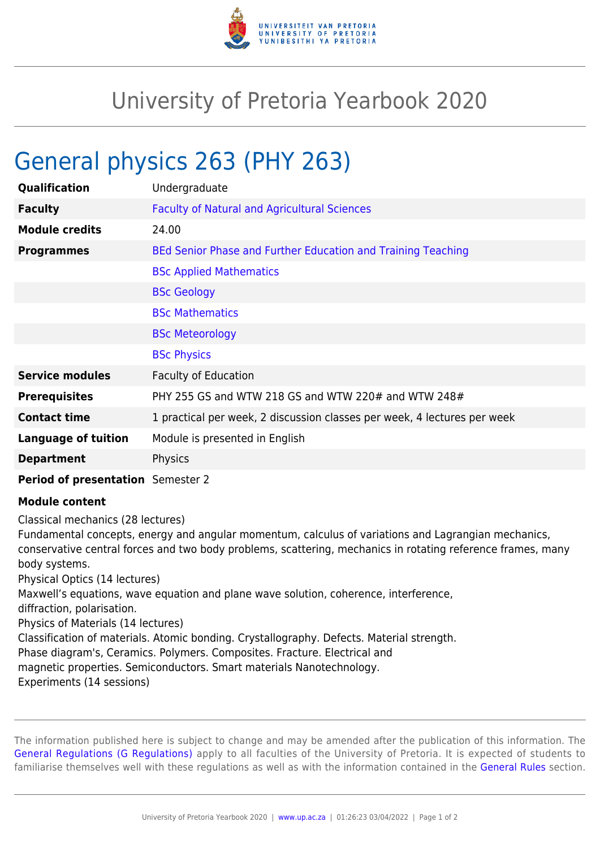

## University of Pretoria Yearbook 2020

## General physics 263 (PHY 263)

| Qualification              | Undergraduate                                                            |
|----------------------------|--------------------------------------------------------------------------|
| <b>Faculty</b>             | <b>Faculty of Natural and Agricultural Sciences</b>                      |
| <b>Module credits</b>      | 24.00                                                                    |
| <b>Programmes</b>          | BEd Senior Phase and Further Education and Training Teaching             |
|                            | <b>BSc Applied Mathematics</b>                                           |
|                            | <b>BSc Geology</b>                                                       |
|                            | <b>BSc Mathematics</b>                                                   |
|                            | <b>BSc Meteorology</b>                                                   |
|                            | <b>BSc Physics</b>                                                       |
| <b>Service modules</b>     | <b>Faculty of Education</b>                                              |
| <b>Prerequisites</b>       | PHY 255 GS and WTW 218 GS and WTW 220# and WTW 248#                      |
| <b>Contact time</b>        | 1 practical per week, 2 discussion classes per week, 4 lectures per week |
| <b>Language of tuition</b> | Module is presented in English                                           |
| <b>Department</b>          | Physics                                                                  |
|                            |                                                                          |

## **Period of presentation** Semester 2

## **Module content**

Classical mechanics (28 lectures)

Fundamental concepts, energy and angular momentum, calculus of variations and Lagrangian mechanics, conservative central forces and two body problems, scattering, mechanics in rotating reference frames, many body systems.

Physical Optics (14 lectures)

Maxwell's equations, wave equation and plane wave solution, coherence, interference,

diffraction, polarisation.

Physics of Materials (14 lectures)

Classification of materials. Atomic bonding. Crystallography. Defects. Material strength.

Phase diagram's, Ceramics. Polymers. Composites. Fracture. Electrical and

magnetic properties. Semiconductors. Smart materials Nanotechnology.

Experiments (14 sessions)

The information published here is subject to change and may be amended after the publication of this information. The [General Regulations \(G Regulations\)](https://www.up.ac.za/mechanical-and-aeronautical-engineering/yearbooks/2020/rules/view/REG) apply to all faculties of the University of Pretoria. It is expected of students to familiarise themselves well with these regulations as well as with the information contained in the [General Rules](https://www.up.ac.za/mechanical-and-aeronautical-engineering/yearbooks/2020/rules/view/RUL) section.